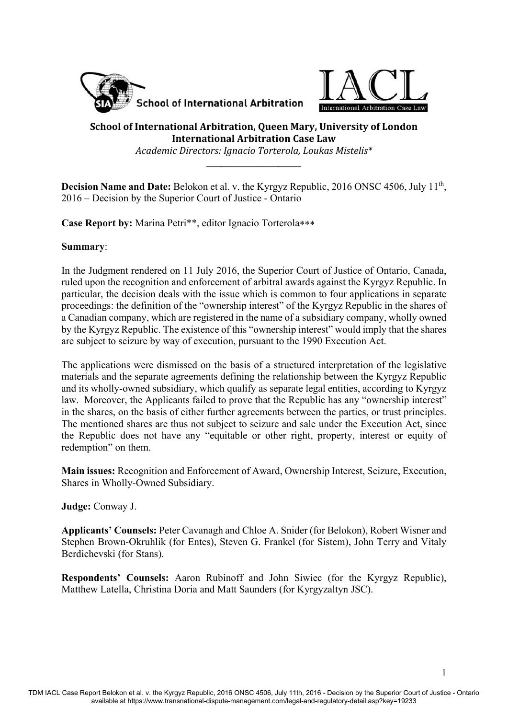



# **School of International Arbitration, Queen Mary, University of London International Arbitration Case Law**

*Academic Directors: Ignacio Torterola, Loukas Mistelis\**

\_\_\_\_\_\_\_\_\_\_\_\_\_\_\_\_\_\_\_\_\_\_\_\_\_ 

**Decision Name and Date:** Belokon et al. v. the Kyrgyz Republic, 2016 ONSC 4506, July 11<sup>th</sup>, 2016 – Decision by the Superior Court of Justice - Ontario

**Case Report by:** Marina Petri\*\*, editor Ignacio Torterola

#### **Summary**:

In the Judgment rendered on 11 July 2016, the Superior Court of Justice of Ontario, Canada, ruled upon the recognition and enforcement of arbitral awards against the Kyrgyz Republic. In particular, the decision deals with the issue which is common to four applications in separate proceedings: the definition of the "ownership interest" of the Kyrgyz Republic in the shares of a Canadian company, which are registered in the name of a subsidiary company, wholly owned by the Kyrgyz Republic. The existence of this "ownership interest" would imply that the shares are subject to seizure by way of execution, pursuant to the 1990 Execution Act.

The applications were dismissed on the basis of a structured interpretation of the legislative materials and the separate agreements defining the relationship between the Kyrgyz Republic and its wholly-owned subsidiary, which qualify as separate legal entities, according to Kyrgyz law. Moreover, the Applicants failed to prove that the Republic has any "ownership interest" in the shares, on the basis of either further agreements between the parties, or trust principles. The mentioned shares are thus not subject to seizure and sale under the Execution Act, since the Republic does not have any "equitable or other right, property, interest or equity of redemption" on them.

**Main issues:** Recognition and Enforcement of Award, Ownership Interest, Seizure, Execution, Shares in Wholly-Owned Subsidiary.

### **Judge:** Conway J.

**Applicants' Counsels:** Peter Cavanagh and Chloe A. Snider (for Belokon), Robert Wisner and Stephen Brown-Okruhlik (for Entes), Steven G. Frankel (for Sistem), John Terry and Vitaly Berdichevski (for Stans).

**Respondents' Counsels:** Aaron Rubinoff and John Siwiec (for the Kyrgyz Republic), Matthew Latella, Christina Doria and Matt Saunders (for Kyrgyzaltyn JSC).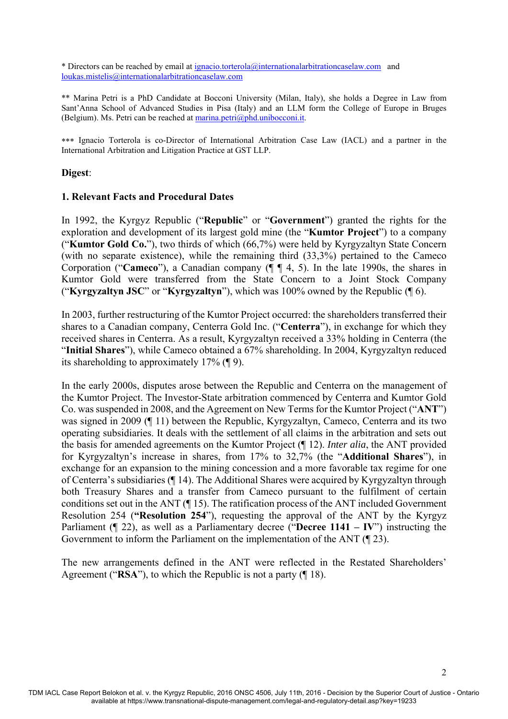\* Directors can be reached by email at ignacio.torterola@internationalarbitrationcaselaw.com and loukas.mistelis@internationalarbitrationcaselaw.com

\*\* Marina Petri is a PhD Candidate at Bocconi University (Milan, Italy), she holds a Degree in Law from Sant'Anna School of Advanced Studies in Pisa (Italy) and an LLM form the College of Europe in Bruges (Belgium). Ms. Petri can be reached at marina.petri@phd.unibocconi.it.

 Ignacio Torterola is co-Director of International Arbitration Case Law (IACL) and a partner in the International Arbitration and Litigation Practice at GST LLP.

#### **Digest**:

#### **1. Relevant Facts and Procedural Dates**

In 1992, the Kyrgyz Republic ("**Republic**" or "**Government**") granted the rights for the exploration and development of its largest gold mine (the "**Kumtor Project**") to a company ("**Kumtor Gold Co.**"), two thirds of which (66,7%) were held by Kyrgyzaltyn State Concern (with no separate existence), while the remaining third (33,3%) pertained to the Cameco Corporation ("**Cameco**"), a Canadian company (¶ ¶ 4, 5). In the late 1990s, the shares in Kumtor Gold were transferred from the State Concern to a Joint Stock Company ("**Kyrgyzaltyn JSC**" or "**Kyrgyzaltyn**"), which was 100% owned by the Republic (¶ 6).

In 2003, further restructuring of the Kumtor Project occurred: the shareholders transferred their shares to a Canadian company, Centerra Gold Inc. ("**Centerra**"), in exchange for which they received shares in Centerra. As a result, Kyrgyzaltyn received a 33% holding in Centerra (the "**Initial Shares**"), while Cameco obtained a 67% shareholding. In 2004, Kyrgyzaltyn reduced its shareholding to approximately 17% (¶ 9).

In the early 2000s, disputes arose between the Republic and Centerra on the management of the Kumtor Project. The Investor-State arbitration commenced by Centerra and Kumtor Gold Co. was suspended in 2008, and the Agreement on New Terms for the Kumtor Project ("**ANT**") was signed in 2009 (¶ 11) between the Republic, Kyrgyzaltyn, Cameco, Centerra and its two operating subsidiaries. It deals with the settlement of all claims in the arbitration and sets out the basis for amended agreements on the Kumtor Project (¶ 12). *Inter alia*, the ANT provided for Kyrgyzaltyn's increase in shares, from 17% to 32,7% (the "**Additional Shares**"), in exchange for an expansion to the mining concession and a more favorable tax regime for one of Centerra's subsidiaries (¶ 14). The Additional Shares were acquired by Kyrgyzaltyn through both Treasury Shares and a transfer from Cameco pursuant to the fulfilment of certain conditions set out in the ANT (¶ 15). The ratification process of the ANT included Government Resolution 254 (**"Resolution 254**"), requesting the approval of the ANT by the Kyrgyz Parliament (¶ 22), as well as a Parliamentary decree ("**Decree 1141 – IV**") instructing the Government to inform the Parliament on the implementation of the ANT (¶ 23).

The new arrangements defined in the ANT were reflected in the Restated Shareholders' Agreement ("**RSA**"), to which the Republic is not a party (¶ 18).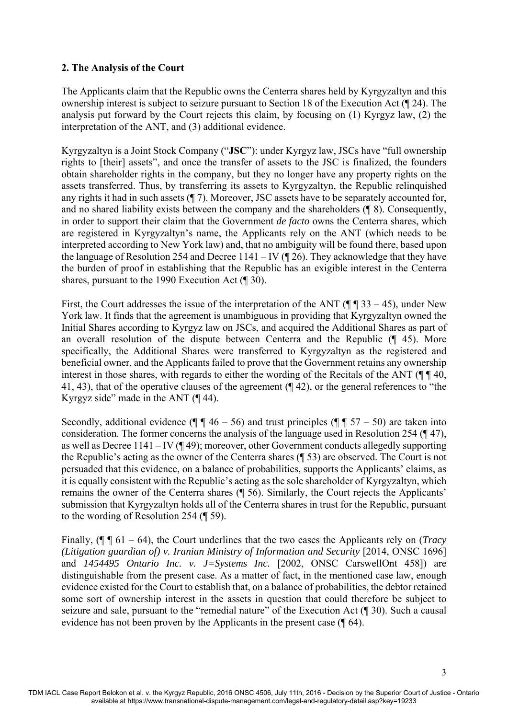## **2. The Analysis of the Court**

The Applicants claim that the Republic owns the Centerra shares held by Kyrgyzaltyn and this ownership interest is subject to seizure pursuant to Section 18 of the Execution Act (¶ 24). The analysis put forward by the Court rejects this claim, by focusing on (1) Kyrgyz law, (2) the interpretation of the ANT, and (3) additional evidence.

Kyrgyzaltyn is a Joint Stock Company ("**JSC**"): under Kyrgyz law, JSCs have "full ownership rights to [their] assets", and once the transfer of assets to the JSC is finalized, the founders obtain shareholder rights in the company, but they no longer have any property rights on the assets transferred. Thus, by transferring its assets to Kyrgyzaltyn, the Republic relinquished any rights it had in such assets (¶ 7). Moreover, JSC assets have to be separately accounted for, and no shared liability exists between the company and the shareholders (¶ 8). Consequently, in order to support their claim that the Government *de facto* owns the Centerra shares, which are registered in Kyrgyzaltyn's name, the Applicants rely on the ANT (which needs to be interpreted according to New York law) and, that no ambiguity will be found there, based upon the language of Resolution 254 and Decree 1141 – IV ( $\P$  26). They acknowledge that they have the burden of proof in establishing that the Republic has an exigible interest in the Centerra shares, pursuant to the 1990 Execution Act (¶ 30).

First, the Court addresses the issue of the interpretation of the ANT ( $\P$   $\P$   $33 - 45$ ), under New York law. It finds that the agreement is unambiguous in providing that Kyrgyzaltyn owned the Initial Shares according to Kyrgyz law on JSCs, and acquired the Additional Shares as part of an overall resolution of the dispute between Centerra and the Republic (¶ 45). More specifically, the Additional Shares were transferred to Kyrgyzaltyn as the registered and beneficial owner, and the Applicants failed to prove that the Government retains any ownership interest in those shares, with regards to either the wording of the Recitals of the ANT ( $\P$   $\P$  40, 41, 43), that of the operative clauses of the agreement (¶ 42), or the general references to "the Kyrgyz side" made in the ANT (¶ 44).

Secondly, additional evidence ( $\P$   $\P$  46 – 56) and trust principles ( $\P$   $\P$  57 – 50) are taken into consideration. The former concerns the analysis of the language used in Resolution 254 (¶ 47), as well as Decree 1141 – IV (¶ 49); moreover, other Government conducts allegedly supporting the Republic's acting as the owner of the Centerra shares (¶ 53) are observed. The Court is not persuaded that this evidence, on a balance of probabilities, supports the Applicants' claims, as it is equally consistent with the Republic's acting as the sole shareholder of Kyrgyzaltyn, which remains the owner of the Centerra shares (¶ 56). Similarly, the Court rejects the Applicants' submission that Kyrgyzaltyn holds all of the Centerra shares in trust for the Republic, pursuant to the wording of Resolution 254 (¶ 59).

Finally, (¶ ¶ 61 – 64), the Court underlines that the two cases the Applicants rely on (*Tracy (Litigation guardian of) v. Iranian Ministry of Information and Security* [2014, ONSC 1696] and *1454495 Ontario Inc. v. J=Systems Inc.* [2002, ONSC CarswellOnt 458]) are distinguishable from the present case. As a matter of fact, in the mentioned case law, enough evidence existed for the Court to establish that, on a balance of probabilities, the debtor retained some sort of ownership interest in the assets in question that could therefore be subject to seizure and sale, pursuant to the "remedial nature" of the Execution Act (¶ 30). Such a causal evidence has not been proven by the Applicants in the present case (¶ 64).